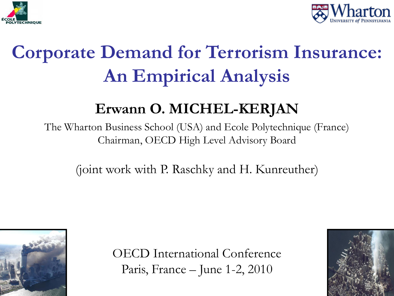



# **Corporate Demand for Terrorism Insurance: An Empirical Analysis**

#### **Erwann O. MICHEL-KERJAN**

The Wharton Business School (USA) and Ecole Polytechnique (France) Chairman, OECD High Level Advisory Board

(joint work with P. Raschky and H. Kunreuther)



OECD International Conference Paris, France – June 1-2, 2010

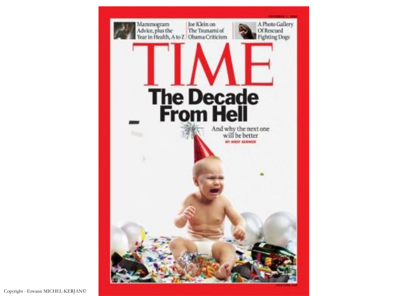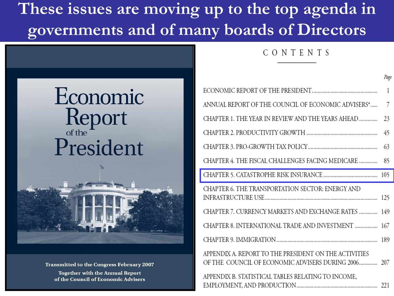#### **These issues are moving up to the top agenda in governments and of many boards of Directors**

#### CONTENTS

|                                                                                                              | Page |
|--------------------------------------------------------------------------------------------------------------|------|
|                                                                                                              | 1    |
| ANNUAL REPORT OF THE COUNCIL OF ECONOMIC ADVISERS*                                                           | 7    |
| CHAPTER 1. THE YEAR IN REVIEW AND THE YEARS AHEAD                                                            | 23   |
|                                                                                                              | 45   |
|                                                                                                              | 63   |
| CHAPTER 4. THE FISCAL CHALLENGES FACING MEDICARE                                                             | 85   |
|                                                                                                              |      |
| CHAPTER 6. THE TRANSPORTATION SECTOR: ENERGY AND                                                             |      |
| CHAPTER 7. CURRENCY MARKETS AND EXCHANGE RATES                                                               | 149  |
| CHAPTER 8. INTERNATIONAL TRADE AND INVESTMENT  167                                                           |      |
|                                                                                                              |      |
| APPENDIX A. REPORT TO THE PRESIDENT ON THE ACTIVITIES<br>OF THE COUNCIL OF ECONOMIC ADVISERS DURING 2006 207 |      |
| APPENDIX B. STATISTICAL TABLES RELATING TO INCOME,                                                           |      |

# Economic Report President



**Transmitted to the Congress February 2007 Together with the Annual Report** of the Council of Economic Advisers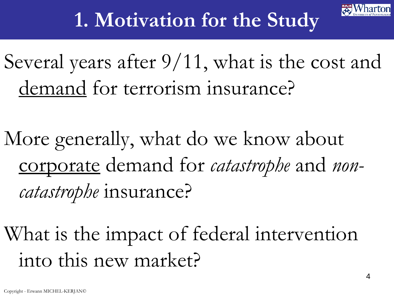

### **1. Motivation for the Study**

Several years after 9/11, what is the cost and demand for terrorism insurance?

More generally, what do we know about corporate demand for *catastrophe* and *noncatastrophe* insurance?

What is the impact of federal intervention into this new market?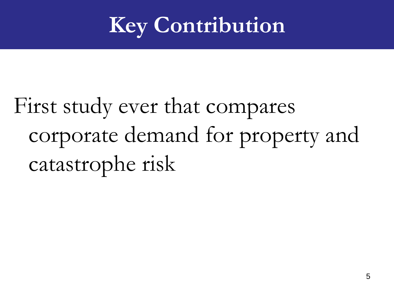# **Key Contribution**

# First study ever that compares corporate demand for property and catastrophe risk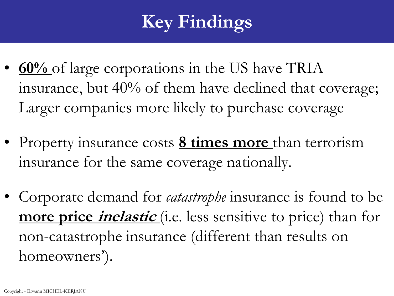### **Key Findings**

- <u>60%</u> of large corporations in the US have TRIA insurance, but 40% of them have declined that coverage; Larger companies more likely to purchase coverage
- Property insurance costs **8 times more** than terrorism insurance for the same coverage nationally.
- Corporate demand for *catastrophe* insurance is found to be **more price inelastic** (i.e. less sensitive to price) than for non-catastrophe insurance (different than results on homeowners').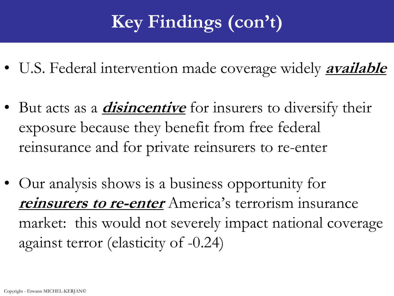### **Key Findings (con't)**

- U.S. Federal intervention made coverage widely **available**
- But acts as a *disincentive* for insurers to diversify their exposure because they benefit from free federal reinsurance and for private reinsurers to re-enter
- Our analysis shows is a business opportunity for **reinsurers to re-enter** America's terrorism insurance market: this would not severely impact national coverage against terror (elasticity of -0.24)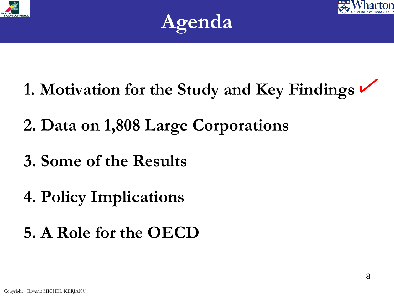





- **1. Motivation for the Study and Key Findings**
- **2. Data on 1,808 Large Corporations**
- **3. Some of the Results**
- **4. Policy Implications**
- **5. A Role for the OECD**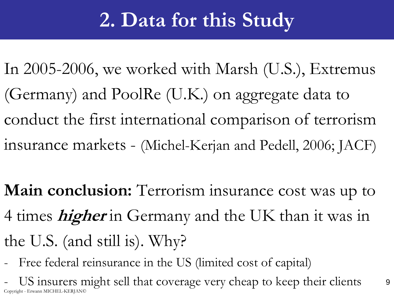### **2. Data for this Study**

In 2005-2006, we worked with Marsh (U.S.), Extremus (Germany) and PoolRe (U.K.) on aggregate data to conduct the first international comparison of terrorism insurance markets - (Michel-Kerjan and Pedell, 2006; JACF)

**Main conclusion:** Terrorism insurance cost was up to 4 times **higher** in Germany and the UK than it was in the U.S. (and still is). Why?

- Free federal reinsurance in the US (limited cost of capital)

US insurers might sell that coverage very cheap to keep their clients 9 Copyright - Erwann MICHEL-KERJAN©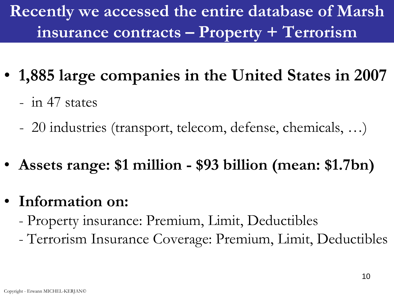**Recently we accessed the entire database of Marsh insurance contracts – Property + Terrorism**

- **1,885 large companies in the United States in 2007**
	- in 47 states
	- 20 industries (transport, telecom, defense, chemicals, …)
- **Assets range: \$1 million - \$93 billion (mean: \$1.7bn)**
- **Information on:**
	- Property insurance: Premium, Limit, Deductibles
	- Terrorism Insurance Coverage: Premium, Limit, Deductibles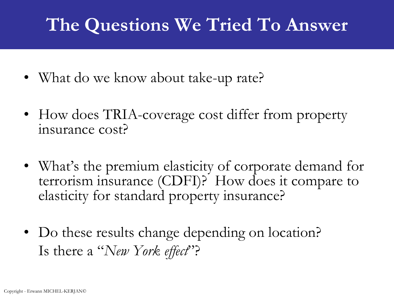### **The Questions We Tried To Answer**

- What do we know about take-up rate?
- How does TRIA-coverage cost differ from property insurance cost?
- What's the premium elasticity of corporate demand for terrorism insurance (CDFI)? How does it compare to elasticity for standard property insurance?
- Do these results change depending on location? Is there a "*New York effect*"?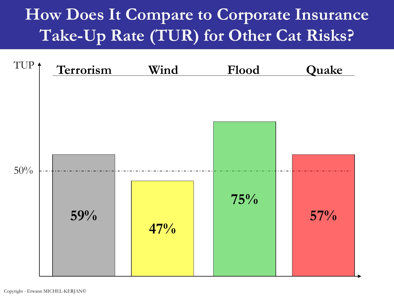#### **How Does It Compare to Corporate Insurance Take-Up Rate (TUR) for Other Cat Risks?**

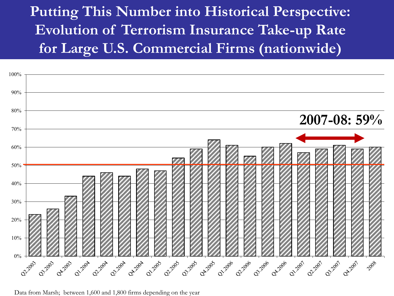#### **Putting This Number into Historical Perspective: Evolution of Terrorism Insurance Take-up Rate for Large U.S. Commercial Firms (nationwide)**



Data from Marsh; between 1,600 and 1,800 firms depending on the year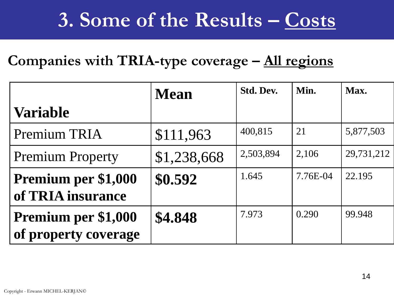### **3. Some of the Results – Costs**

#### **Companies with TRIA-type coverage – All regions**

|                                             | <b>Mean</b> | <b>Std. Dev.</b> | Min.     | Max.       |
|---------------------------------------------|-------------|------------------|----------|------------|
| <b>Variable</b>                             |             |                  |          |            |
| Premium TRIA                                | \$111,963   | 400,815          | 21       | 5,877,503  |
| <b>Premium Property</b>                     | \$1,238,668 | 2,503,894        | 2,106    | 29,731,212 |
| Premium per \$1,000<br>of TRIA insurance    | \$0.592     | 1.645            | 7.76E-04 | 22.195     |
| Premium per \$1,000<br>of property coverage | \$4.848     | 7.973            | 0.290    | 99.948     |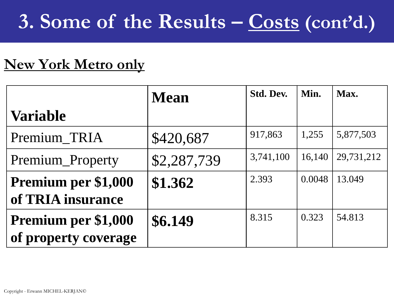## **3. Some of the Results – Costs (cont'd.)**

#### **New York Metro only**

|                                             | <b>Mean</b> | <b>Std. Dev.</b> | Min.   | Max.       |
|---------------------------------------------|-------------|------------------|--------|------------|
| <b>Variable</b>                             |             |                  |        |            |
| Premium_TRIA                                | \$420,687   | 917,863          | 1,255  | 5,877,503  |
| Premium_Property                            | \$2,287,739 | 3,741,100        | 16,140 | 29,731,212 |
| Premium per \$1,000<br>of TRIA insurance    | \$1.362     | 2.393            | 0.0048 | 13.049     |
| Premium per \$1,000<br>of property coverage | \$6.149     | 8.315            | 0.323  | 54.813     |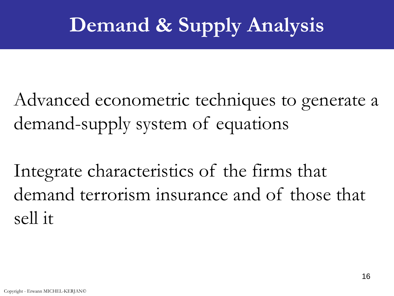# **Demand & Supply Analysis**

Advanced econometric techniques to generate a demand-supply system of equations

Integrate characteristics of the firms that demand terrorism insurance and of those that sell it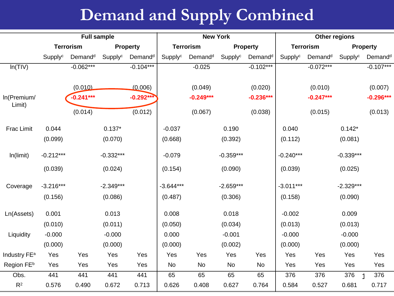#### **Demand and Supply Combined**

|                          | <b>Full sample</b>                  |                     |                                     | <b>New York</b>     |             |                     | Other regions |                     |             |                     |             |                     |
|--------------------------|-------------------------------------|---------------------|-------------------------------------|---------------------|-------------|---------------------|---------------|---------------------|-------------|---------------------|-------------|---------------------|
|                          | <b>Terrorism</b><br><b>Property</b> |                     | <b>Terrorism</b><br><b>Property</b> |                     |             | <b>Terrorism</b>    |               | <b>Property</b>     |             |                     |             |                     |
|                          | Supplyc                             | Demand <sup>d</sup> | Supplyc                             | Demand <sup>d</sup> | Supplyc     | Demand <sup>d</sup> | Supplyc       | Demand <sup>d</sup> | Supplyc     | Demand <sup>d</sup> | Supplyc     | Demand <sup>d</sup> |
| In(TIV)                  |                                     | $-0.062***$         |                                     | $-0.104***$         |             | $-0.025$            |               | $-0.102***$         |             | $-0.072***$         |             | $-0.107***$         |
|                          |                                     | (0.010)             |                                     | (0.006)             |             | (0.049)             |               | (0.020)             |             | (0.010)             |             | (0.007)             |
| In(Premium/              |                                     | $-0.241***$         |                                     | $-0.292***$         |             | $-0.249***$         |               | $-0.236***$         |             | $-0.247***$         |             | $-0.296***$         |
| Limit)                   |                                     | (0.014)             |                                     | (0.012)             |             | (0.067)             |               | (0.038)             |             | (0.015)             |             | (0.013)             |
| Frac Limit               | 0.044                               |                     | $0.137*$                            |                     | $-0.037$    |                     | 0.190         |                     | 0.040       |                     | $0.142*$    |                     |
|                          | (0.099)                             |                     | (0.070)                             |                     | (0.668)     |                     | (0.392)       |                     | (0.112)     |                     | (0.081)     |                     |
| In(limit)                | $-0.212***$                         |                     | $-0.332***$                         |                     | $-0.079$    |                     | $-0.359***$   |                     | $-0.240***$ |                     | $-0.339***$ |                     |
|                          | (0.039)                             |                     | (0.024)                             |                     | (0.154)     |                     | (0.090)       |                     | (0.039)     |                     | (0.025)     |                     |
| Coverage                 | $-3.216***$                         |                     | $-2.349***$                         |                     | $-3.644***$ |                     | $-2.659***$   |                     | $-3.011***$ |                     | $-2.329***$ |                     |
|                          | (0.156)                             |                     | (0.086)                             |                     | (0.487)     |                     | (0.306)       |                     | (0.158)     |                     | (0.090)     |                     |
| Ln(Assets)               | 0.001                               |                     | 0.013                               |                     | 0.008       |                     | 0.018         |                     | $-0.002$    |                     | 0.009       |                     |
|                          | (0.010)                             |                     | (0.011)                             |                     | (0.050)     |                     | (0.034)       |                     | (0.013)     |                     | (0.013)     |                     |
| Liquidity                | $-0.000$                            |                     | $-0.000$                            |                     | 0.000       |                     | $-0.001$      |                     | $-0.000$    |                     | $-0.000$    |                     |
|                          | (0.000)                             |                     | (0.000)                             |                     | (0.000)     |                     | (0.002)       |                     | (0.000)     |                     | (0.000)     |                     |
| Industry FE <sup>a</sup> | Yes                                 | Yes                 | Yes                                 | Yes                 | Yes         | Yes                 | Yes           | Yes                 | Yes         | Yes                 | Yes         | Yes                 |
| Region FEb               | Yes                                 | Yes                 | Yes                                 | Yes                 | No          | No                  | No            | No                  | Yes         | Yes                 | Yes         | Yes                 |
| Obs.                     | 441                                 | 441                 | 441                                 | 441                 | 65          | 65                  | 65            | 65                  | 376         | 376                 | 376         | 376                 |
| R <sup>2</sup>           | 0.576                               | 0.490               | 0.672                               | 0.713               | 0.626       | 0.408               | 0.627         | 0.764               | 0.584       | 0.527               | 0.681       | 0.717               |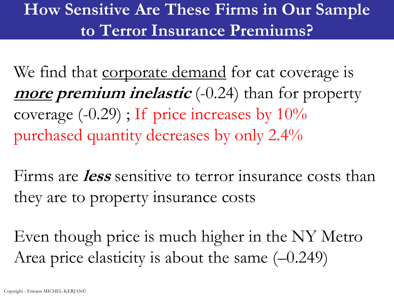#### **How Sensitive Are These Firms in Our Sample to Terror Insurance Premiums?**

We find that corporate demand for cat coverage is **more premium inelastic** (-0.24) than for property coverage  $(-0.29)$ ; If price increases by  $10\%$ purchased quantity decreases by only 2.4%

Firms are **less** sensitive to terror insurance costs than they are to property insurance costs

Even though price is much higher in the NY Metro Area price elasticity is about the same (–0.249)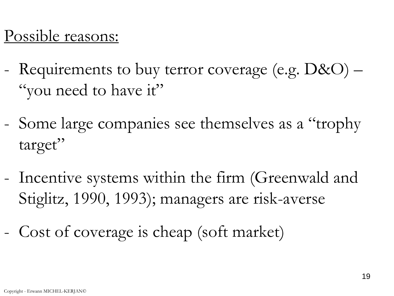#### Possible reasons:

- Requirements to buy terror coverage (e.g.  $D&O$ ) "you need to have it"
- Some large companies see themselves as a "trophy target"
- Incentive systems within the firm (Greenwald and Stiglitz, 1990, 1993); managers are risk-averse
- Cost of coverage is cheap (soft market)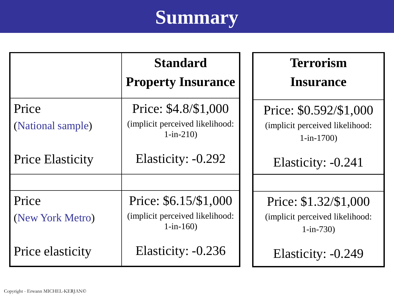# **Summary**

|                            | <b>Standard</b><br><b>Property Insurance</b>                           | <b>Terrorism</b><br><b>Insurance</b>                                     |
|----------------------------|------------------------------------------------------------------------|--------------------------------------------------------------------------|
| Price<br>(National sample) | Price: \$4.8/\$1,000<br>(implicit perceived likelihood:<br>$1-in-210$  | Price: \$0.592/\$1,000<br>(implicit perceived likelihood:<br>$1-in-1700$ |
| <b>Price Elasticity</b>    | Elasticity: -0.292                                                     | Elasticity: -0.241                                                       |
| Price<br>(New York Metro)  | Price: \$6.15/\$1,000<br>(implicit perceived likelihood:<br>$1-in-160$ | Price: \$1.32/\$1,000<br>(implicit perceived likelihood:<br>$1-in-730$   |
| Price elasticity           | Elasticity: -0.236                                                     | Elasticity: -0.249                                                       |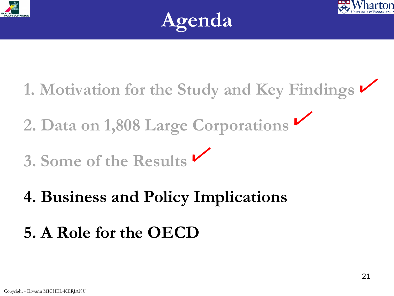





- **1. Motivation for the Study and Key Findings**
- **2. Data on 1,808 Large Corporations**
- **3. Some of the Results**
- **4. Business and Policy Implications**
- **5. A Role for the OECD**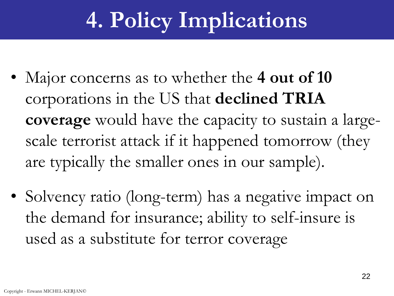# **4. Policy Implications**

- Major concerns as to whether the 4 out of 10 corporations in the US that **declined TRIA coverage** would have the capacity to sustain a largescale terrorist attack if it happened tomorrow (they are typically the smaller ones in our sample).
- Solvency ratio (long-term) has a negative impact on the demand for insurance; ability to self-insure is used as a substitute for terror coverage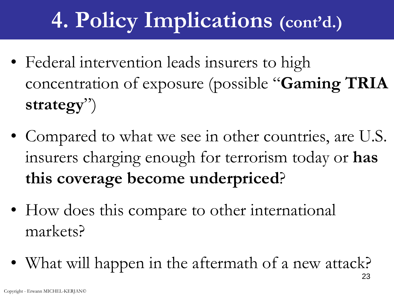# **4. Policy Implications (cont'd.)**

- Federal intervention leads insurers to high concentration of exposure (possible "**Gaming TRIA strategy**")
- Compared to what we see in other countries, are U.S. insurers charging enough for terrorism today or **has this coverage become underpriced**?
- How does this compare to other international markets?
- What will happen in the aftermath of a new attack?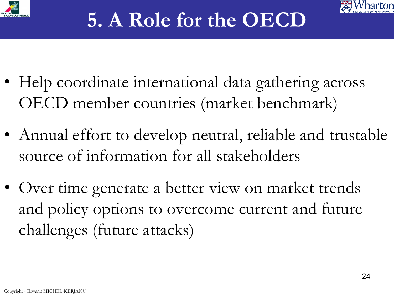



- Help coordinate international data gathering across OECD member countries (market benchmark)
- Annual effort to develop neutral, reliable and trustable source of information for all stakeholders
- Over time generate a better view on market trends and policy options to overcome current and future challenges (future attacks)